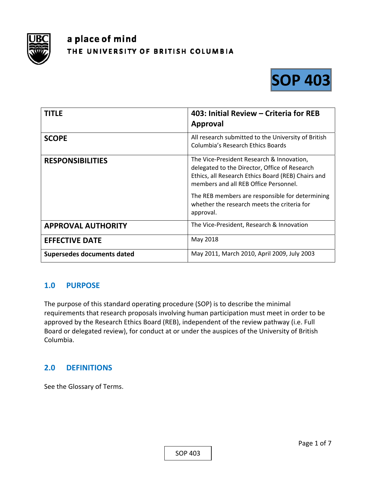

# a place of mind THE UNIVERSITY OF BRITISH COLUMBIA



| <b>TITLE</b>                      | 403: Initial Review - Criteria for REB<br>Approval                                                                                                                                        |
|-----------------------------------|-------------------------------------------------------------------------------------------------------------------------------------------------------------------------------------------|
| <b>SCOPE</b>                      | All research submitted to the University of British<br><b>Columbia's Research Ethics Boards</b>                                                                                           |
| <b>RESPONSIBILITIES</b>           | The Vice-President Research & Innovation,<br>delegated to the Director, Office of Research<br>Ethics, all Research Ethics Board (REB) Chairs and<br>members and all REB Office Personnel. |
|                                   | The REB members are responsible for determining<br>whether the research meets the criteria for<br>approval.                                                                               |
| <b>APPROVAL AUTHORITY</b>         | The Vice-President, Research & Innovation                                                                                                                                                 |
| <b>EFFECTIVE DATE</b>             | May 2018                                                                                                                                                                                  |
| <b>Supersedes documents dated</b> | May 2011, March 2010, April 2009, July 2003                                                                                                                                               |

## **1.0 PURPOSE**

The purpose of this standard operating procedure (SOP) is to describe the minimal requirements that research proposals involving human participation must meet in order to be approved by the Research Ethics Board (REB), independent of the review pathway (i.e. Full Board or delegated review), for conduct at or under the auspices of the University of British Columbia.

## **2.0 DEFINITIONS**

See the Glossary of Terms.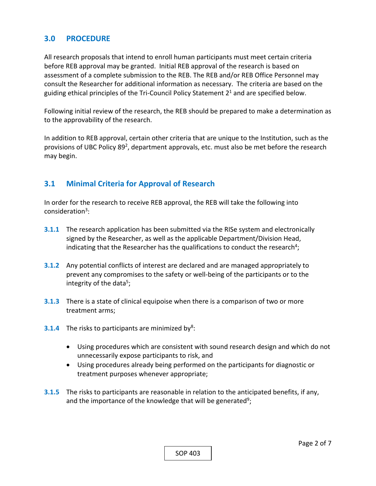## **3.0 PROCEDURE**

All research proposals that intend to enroll human participants must meet certain criteria before REB approval may be granted. Initial REB approval of the research is based on assessment of a complete submission to the REB. The REB and/or REB Office Personnel may consult the Researcher for additional information as necessary. The criteria are based on the guiding ethical principles of the Tri-Council Policy Statement  $2<sup>1</sup>$  and are specified below.

Following initial review of the research, the REB should be prepared to make a determination as to the approvability of the research.

In addition to REB approval, certain other criteria that are unique to the Institution, such as the provisions of UBC Policy 89<sup>2</sup>, department approvals, etc. must also be met before the research may begin.

## **3.1 Minimal Criteria for Approval of Research**

In order for the research to receive REB approval, the REB will take the following into consideration<sup>3</sup>:

- **3.1.1** The research application has been submitted via the RISe system and electronically signed by the Researcher, as well as the applicable Department/Division Head, indicating that the Researcher has the qualifications to conduct the research<sup>4</sup>;
- **3.1.2** Any potential conflicts of interest are declared and are managed appropriately to prevent any compromises to the safety or well‐being of the participants or to the integrity of the data<sup>5</sup>;
- **3.1.3**  There is a state of clinical equipoise when there is a comparison of two or more treatment arms;
- **3.1.4** The risks to participants are minimized by<sup>8</sup>:
	- Using procedures which are consistent with sound research design and which do not unnecessarily expose participants to risk, and
	- Using procedures already being performed on the participants for diagnostic or treatment purposes whenever appropriate;
- **3.1.5**  The risks to participants are reasonable in relation to the anticipated benefits, if any, and the importance of the knowledge that will be generated<sup>9</sup>;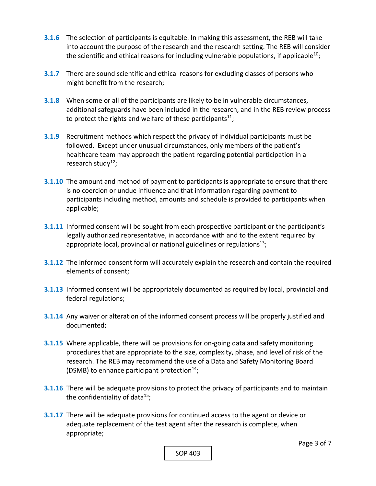- **3.1.6**  The selection of participants is equitable. In making this assessment, the REB will take into account the purpose of the research and the research setting. The REB will consider the scientific and ethical reasons for including vulnerable populations, if applicable<sup>10</sup>;
- **3.1.7** There are sound scientific and ethical reasons for excluding classes of persons who might benefit from the research;
- **3.1.8**  When some or all of the participants are likely to be in vulnerable circumstances, additional safeguards have been included in the research, and in the REB review process to protect the rights and welfare of these participants<sup>11</sup>;
- **3.1.9**  Recruitment methods which respect the privacy of individual participants must be followed. Except under unusual circumstances, only members of the patient's healthcare team may approach the patient regarding potential participation in a research study<sup>12</sup>;
- **3.1.10** The amount and method of payment to participants is appropriate to ensure that there is no coercion or undue influence and that information regarding payment to participants including method, amounts and schedule is provided to participants when applicable;
- **3.1.11** Informed consent will be sought from each prospective participant or the participant's legally authorized representative, in accordance with and to the extent required by appropriate local, provincial or national guidelines or regulations $^{13}$ ;
- **3.1.12**  The informed consent form will accurately explain the research and contain the required elements of consent;
- **3.1.13**  Informed consent will be appropriately documented as required by local, provincial and federal regulations;
- **3.1.14** Any waiver or alteration of the informed consent process will be properly justified and documented;
- **3.1.15**  Where applicable, there will be provisions for on‐going data and safety monitoring procedures that are appropriate to the size, complexity, phase, and level of risk of the research. The REB may recommend the use of a Data and Safety Monitoring Board (DSMB) to enhance participant protection<sup>14</sup>;
- **3.1.16**  There will be adequate provisions to protect the privacy of participants and to maintain the confidentiality of data<sup>15</sup>;
- **3.1.17** There will be adequate provisions for continued access to the agent or device or adequate replacement of the test agent after the research is complete, when appropriate;

SOP 403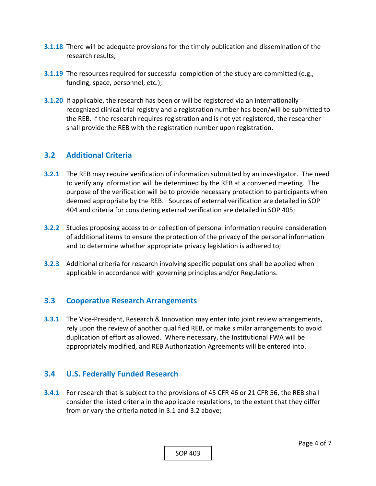- **3.1.18**  There will be adequate provisions for the timely publication and dissemination of the research results;
- **3.1.19** The resources required for successful completion of the study are committed (e.g., funding, space, personnel, etc.);
- **3.1.20**  If applicable, the research has been or will be registered via an internationally recognized clinical trial registry and a registration number has been/will be submitted to the REB. If the research requires registration and is not yet registered, the researcher shall provide the REB with the registration number upon registration.

## **3.2 Additional Criteria**

- **3.2.1**  The REB may require verification of information submitted by an investigator. The need to verify any information will be determined by the REB at a convened meeting. The purpose of the verification will be to provide necessary protection to participants when deemed appropriate by the REB. Sources of external verification are detailed in SOP 404 and criteria for considering external verification are detailed in SOP 405;
- **3.2.2**  Studies proposing access to or collection of personal information require consideration of additional items to ensure the protection of the privacy of the personal information and to determine whether appropriate privacy legislation is adhered to;
- **3.2.3**  Additional criteria for research involving specific populations shall be applied when applicable in accordance with governing principles and/or Regulations.

## **3.3 Cooperative Research Arrangements**

**3.3.1**  The Vice‐President, Research & Innovation may enter into joint review arrangements, rely upon the review of another qualified REB, or make similar arrangements to avoid duplication of effort as allowed. Where necessary, the Institutional FWA will be appropriately modified, and REB Authorization Agreements will be entered into.

## **3.4 U.S. Federally Funded Research**

**3.4.1**  For research that is subject to the provisions of 45 CFR 46 or 21 CFR 56, the REB shall consider the listed criteria in the applicable regulations, to the extent that they differ from or vary the criteria noted in 3.1 and 3.2 above;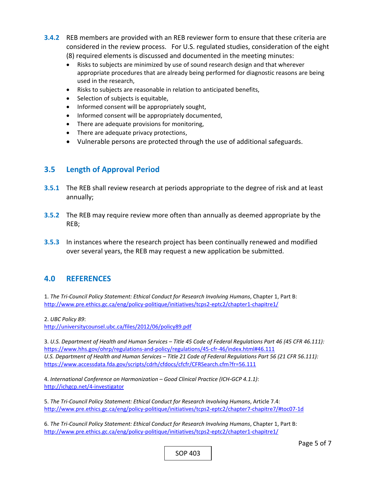- **3.4.2**  REB members are provided with an REB reviewer form to ensure that these criteria are considered in the review process. For U.S. regulated studies, consideration of the eight (8) required elements is discussed and documented in the meeting minutes:
	- Risks to subjects are minimized by use of sound research design and that wherever appropriate procedures that are already being performed for diagnostic reasons are being used in the research,
	- Risks to subjects are reasonable in relation to anticipated benefits,
	- Selection of subjects is equitable,
	- Informed consent will be appropriately sought,
	- Informed consent will be appropriately documented,
	- There are adequate provisions for monitoring,
	- There are adequate privacy protections,
	- Vulnerable persons are protected through the use of additional safeguards.

## **3.5 Length of Approval Period**

- **3.5.1**  The REB shall review research at periods appropriate to the degree of risk and at least annually;
- **3.5.2**  The REB may require review more often than annually as deemed appropriate by the REB;
- **3.5.3**  In instances where the research project has been continually renewed and modified over several years, the REB may request a new application be submitted.

#### **4.0 REFERENCES**

1. The Tri-Council Policy Statement: Ethical Conduct for Research Involving Humans, Chapter 1, Part B: http://www.pre.ethics.gc.ca/eng/policy‐politique/initiatives/tcps2‐eptc2/chapter1‐chapitre1/

2. *UBC Policy 89*:

http://universitycounsel.ubc.ca/files/2012/06/policy89.pdf

3. *U.S. Department of Health and Human Services – Title 45 Code of Federal Regulations Part 46 (45 CFR 46.111):*  https://www.hhs.gov/ohrp/regulations‐and‐policy/regulations/45‐cfr‐46/index.html#46.111 *U.S. Department of Health and Human Services – Title 21 Code of Federal Regulations Part 56 (21 CFR 56.111):*  https://www.accessdata.fda.gov/scripts/cdrh/cfdocs/cfcfr/CFRSearch.cfm?fr=56.111

4. *International Conference on Harmonization – Good Clinical Practice (ICH‐GCP 4.1.1)*: http://ichgcp.net/4‐investigator

5. *The Tri‐Council Policy Statement: Ethical Conduct for Research Involving Humans*, Article 7.4: http://www.pre.ethics.gc.ca/eng/policy‐politique/initiatives/tcps2‐eptc2/chapter7‐chapitre7/#toc07‐1d

6. *The Tri‐Council Policy Statement: Ethical Conduct for Research Involving Humans*, Chapter 1, Part B: http://www.pre.ethics.gc.ca/eng/policy‐politique/initiatives/tcps2‐eptc2/chapter1‐chapitre1/

SOP 403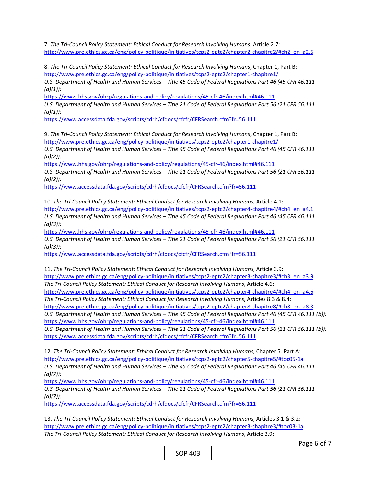7. *The Tri‐Council Policy Statement: Ethical Conduct for Research Involving Humans*, Article 2.7: http://www.pre.ethics.gc.ca/eng/policy-politique/initiatives/tcps2-eptc2/chapter2-chapitre2/#ch2\_en\_a2.6

8. *The Tri‐Council Policy Statement: Ethical Conduct for Research Involving Humans*, Chapter 1, Part B: http://www.pre.ethics.gc.ca/eng/policy-politique/initiatives/tcps2-eptc2/chapter1-chapitre1/ *U.S. Department of Health and Human Services – Title 45 Code of Federal Regulations Part 46 (45 CFR 46.111 (a)(1)):* 

https://www.hhs.gov/ohrp/regulations‐and‐policy/regulations/45‐cfr‐46/index.html#46.111 *U.S. Department of Health and Human Services – Title 21 Code of Federal Regulations Part 56 (21 CFR 56.111 (a)(1)):* 

https://www.accessdata.fda.gov/scripts/cdrh/cfdocs/cfcfr/CFRSearch.cfm?fr=56.111

9. The Tri-Council Policy Statement: Ethical Conduct for Research Involving Humans, Chapter 1, Part B: http://www.pre.ethics.gc.ca/eng/policy‐politique/initiatives/tcps2‐eptc2/chapter1‐chapitre1/

*U.S. Department of Health and Human Services – Title 45 Code of Federal Regulations Part 46 (45 CFR 46.111 (a)(2)):* 

https://www.hhs.gov/ohrp/regulations-and-policy/regulations/45-cfr-46/index.html#46.111 *U.S. Department of Health and Human Services – Title 21 Code of Federal Regulations Part 56 (21 CFR 56.111 (a)(2)):* 

https://www.accessdata.fda.gov/scripts/cdrh/cfdocs/cfcfr/CFRSearch.cfm?fr=56.111

10. *The Tri‐Council Policy Statement: Ethical Conduct for Research Involving Humans*, Article 4.1: http://www.pre.ethics.gc.ca/eng/policy-politique/initiatives/tcps2-eptc2/chapter4-chapitre4/#ch4\_en\_a4.1 *U.S. Department of Health and Human Services – Title 45 Code of Federal Regulations Part 46 (45 CFR 46.111 (a)(3)):* 

https://www.hhs.gov/ohrp/regulations‐and‐policy/regulations/45‐cfr‐46/index.html#46.111

*U.S. Department of Health and Human Services – Title 21 Code of Federal Regulations Part 56 (21 CFR 56.111 (a)(3)):* 

https://www.accessdata.fda.gov/scripts/cdrh/cfdocs/cfcfr/CFRSearch.cfm?fr=56.111

11. *The Tri‐Council Policy Statement: Ethical Conduct for Research Involving Humans*, Article 3.9: http://www.pre.ethics.gc.ca/eng/policy-politique/initiatives/tcps2-eptc2/chapter3-chapitre3/#ch3\_en\_a3.9 *The Tri‐Council Policy Statement: Ethical Conduct for Research Involving Humans*, Article 4.6: http://www.pre.ethics.gc.ca/eng/policy-politique/initiatives/tcps2-eptc2/chapter4-chapitre4/#ch4\_en\_a4.6 *The Tri‐Council Policy Statement: Ethical Conduct for Research Involving Humans*, Articles 8.3 & 8.4: http://www.pre.ethics.gc.ca/eng/policy-politique/initiatives/tcps2-eptc2/chapter8-chapitre8/#ch8\_en\_a8.3 *U.S. Department of Health and Human Services – Title 45 Code of Federal Regulations Part 46 (45 CFR 46.111 (b)):*  https://www.hhs.gov/ohrp/regulations-and-policy/regulations/45-cfr-46/index.html#46.111

*U.S. Department of Health and Human Services – Title 21 Code of Federal Regulations Part 56 (21 CFR 56.111 (b)):*  https://www.accessdata.fda.gov/scripts/cdrh/cfdocs/cfcfr/CFRSearch.cfm?fr=56.111

12. *The Tri‐Council Policy Statement: Ethical Conduct for Research Involving Humans*, Chapter 5, Part A: http://www.pre.ethics.gc.ca/eng/policy‐politique/initiatives/tcps2‐eptc2/chapter5‐chapitre5/#toc05‐1a *U.S. Department of Health and Human Services – Title 45 Code of Federal Regulations Part 46 (45 CFR 46.111 (a)(7)):* 

https://www.hhs.gov/ohrp/regulations-and-policy/regulations/45-cfr-46/index.html#46.111 *U.S. Department of Health and Human Services – Title 21 Code of Federal Regulations Part 56 (21 CFR 56.111 (a)(7)):* 

https://www.accessdata.fda.gov/scripts/cdrh/cfdocs/cfcfr/CFRSearch.cfm?fr=56.111

13. *The Tri‐Council Policy Statement: Ethical Conduct for Research Involving Humans*, Articles 3.1 & 3.2: http://www.pre.ethics.gc.ca/eng/policy-politique/initiatives/tcps2-eptc2/chapter3-chapitre3/#toc03-1a *The Tri‐Council Policy Statement: Ethical Conduct for Research Involving Humans*, Article 3.9: